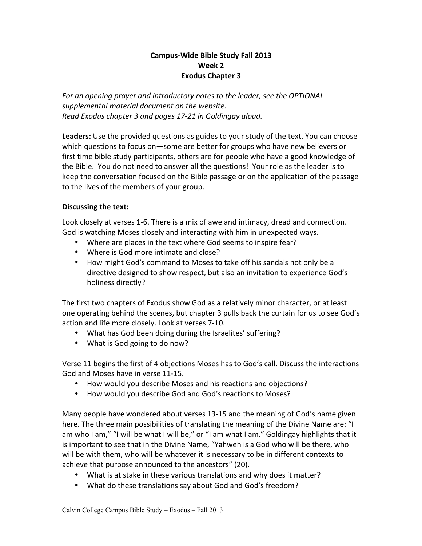## **Campus-Wide Bible Study Fall 2013 Week 2 Exodus Chapter 3**

For an opening prayer and introductory notes to the leader, see the OPTIONAL supplemental material document on the website. *Read Exodus chapter 3 and pages 17-21 in Goldingay aloud.*

Leaders: Use the provided questions as guides to your study of the text. You can choose which questions to focus on—some are better for groups who have new believers or first time bible study participants, others are for people who have a good knowledge of the Bible. You do not need to answer all the questions! Your role as the leader is to keep the conversation focused on the Bible passage or on the application of the passage to the lives of the members of your group.

## **Discussing the text:**

Look closely at verses 1-6. There is a mix of awe and intimacy, dread and connection. God is watching Moses closely and interacting with him in unexpected ways.

- Where are places in the text where God seems to inspire fear?
- Where is God more intimate and close?
- How might God's command to Moses to take off his sandals not only be a directive designed to show respect, but also an invitation to experience God's holiness directly?

The first two chapters of Exodus show God as a relatively minor character, or at least one operating behind the scenes, but chapter 3 pulls back the curtain for us to see God's action and life more closely. Look at verses 7-10.

- What has God been doing during the Israelites' suffering?
- What is God going to do now?

Verse 11 begins the first of 4 objections Moses has to God's call. Discuss the interactions God and Moses have in verse 11-15.

- How would you describe Moses and his reactions and objections?
- How would you describe God and God's reactions to Moses?

Many people have wondered about verses 13-15 and the meaning of God's name given here. The three main possibilities of translating the meaning of the Divine Name are: "I am who I am," "I will be what I will be," or "I am what I am." Goldingay highlights that it is important to see that in the Divine Name, "Yahweh is a God who will be there, who will be with them, who will be whatever it is necessary to be in different contexts to achieve that purpose announced to the ancestors" (20).

- What is at stake in these various translations and why does it matter?
- What do these translations say about God and God's freedom?